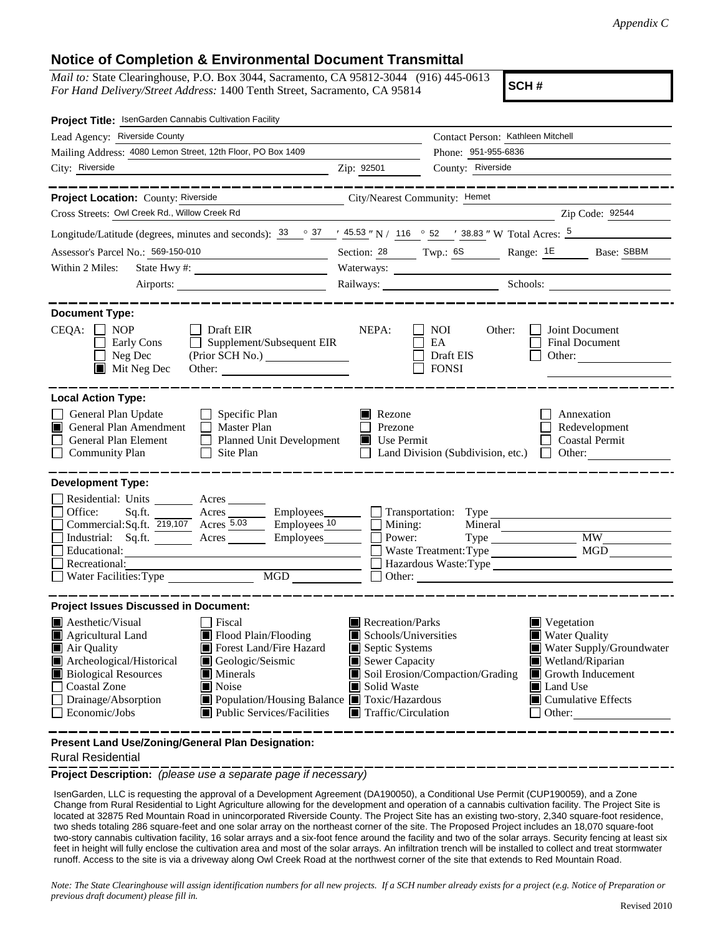## **Notice of Completion & Environmental Document Transmittal**

*Mail to:* State Clearinghouse, P.O. Box 3044, Sacramento, CA 95812-3044 (916) 445-0613 *For Hand Delivery/Street Address:* 1400 Tenth Street, Sacramento, CA 95814

**SCH #**

| Project Title: IsenGarden Cannabis Cultivation Facility                                                                                                                                                                                                                                                                                                                              |                                      |                                                                                                                                                                                                                                                                                                                             |                                                                       |
|--------------------------------------------------------------------------------------------------------------------------------------------------------------------------------------------------------------------------------------------------------------------------------------------------------------------------------------------------------------------------------------|--------------------------------------|-----------------------------------------------------------------------------------------------------------------------------------------------------------------------------------------------------------------------------------------------------------------------------------------------------------------------------|-----------------------------------------------------------------------|
| Lead Agency: Riverside County                                                                                                                                                                                                                                                                                                                                                        |                                      | Contact Person: Kathleen Mitchell                                                                                                                                                                                                                                                                                           |                                                                       |
| Mailing Address: 4080 Lemon Street, 12th Floor, PO Box 1409                                                                                                                                                                                                                                                                                                                          |                                      | Phone: 951-955-6836                                                                                                                                                                                                                                                                                                         |                                                                       |
| City: Riverside                                                                                                                                                                                                                                                                                                                                                                      | Zip: 92501                           | County: Riverside                                                                                                                                                                                                                                                                                                           |                                                                       |
| __________                                                                                                                                                                                                                                                                                                                                                                           |                                      |                                                                                                                                                                                                                                                                                                                             | ________________                                                      |
| Project Location: County: Riverside<br><u> 1989 - Johann John Store, markin samti samti samti samti samti samti samti samti samti samti samti samti sa</u>                                                                                                                                                                                                                           | City/Nearest Community: Hemet        |                                                                                                                                                                                                                                                                                                                             |                                                                       |
| Cross Streets: Owl Creek Rd., Willow Creek Rd                                                                                                                                                                                                                                                                                                                                        |                                      |                                                                                                                                                                                                                                                                                                                             | Zip Code: 92544                                                       |
| Longitude/Latitude (degrees, minutes and seconds): $33 \degree$ $37 \degree$ $45.53$ "N / 116 $\degree$ 52 $\degree$ 38.83 "W Total Acres: $5 \degree$                                                                                                                                                                                                                               |                                      |                                                                                                                                                                                                                                                                                                                             |                                                                       |
| Assessor's Parcel No.: 569-150-010<br><u> 1980 - Johann Barbara, martin a</u>                                                                                                                                                                                                                                                                                                        |                                      |                                                                                                                                                                                                                                                                                                                             | Section: 28 Twp.: 68 Range: 1E Base: SBBM                             |
| Within 2 Miles:                                                                                                                                                                                                                                                                                                                                                                      |                                      |                                                                                                                                                                                                                                                                                                                             |                                                                       |
| Airports:                                                                                                                                                                                                                                                                                                                                                                            |                                      | Railways: Schools:                                                                                                                                                                                                                                                                                                          |                                                                       |
| <b>Document Type:</b><br>$CEQA: \Box NP$<br>$\Box$ Draft EIR<br>Supplement/Subsequent EIR<br>Early Cons<br>$\mathbf{1}$<br>Neg Dec<br>$\blacksquare$ Mit Neg Dec                                                                                                                                                                                                                     | NEPA:                                | NOI<br>Other:<br>EA<br>Draft EIS<br><b>FONSI</b>                                                                                                                                                                                                                                                                            | Joint Document<br><b>Final Document</b><br>Other:                     |
| <b>Local Action Type:</b>                                                                                                                                                                                                                                                                                                                                                            |                                      |                                                                                                                                                                                                                                                                                                                             |                                                                       |
| General Plan Update<br>$\Box$ Specific Plan<br>General Plan Amendment<br>$\Box$ Master Plan<br>I I<br>General Plan Element<br>Planned Unit Development<br><b>Community Plan</b><br>Site Plan                                                                                                                                                                                         | Rezone<br>Prezone<br>Use Permit<br>Ш | Land Division (Subdivision, etc.)                                                                                                                                                                                                                                                                                           | Annexation<br>Redevelopment<br><b>Coastal Permit</b><br>$\Box$ Other: |
| <b>Development Type:</b><br>Residential: Units ________ Acres _______<br>Office:<br>Sq.ft. ________ Acres _________ Employees ________ ___ Transportation: Type ___________<br>Commercial:Sq.ft. 219,107 Acres 5.03<br>$\frac{10}{2}$ Employees $\frac{10}{2}$<br>Industrial: Sq.ft.<br>Employees________<br>Acres<br>Educational:<br>Recreational:<br>MGD<br>Water Facilities: Type | Mining:<br>Power:                    | Mineral<br>Type<br>Waste Treatment: Type<br>$\Box$ Other: $\Box$                                                                                                                                                                                                                                                            | <b>MW</b><br>MGD<br>Hazardous Waste: Type                             |
| <b>Project Issues Discussed in Document:</b>                                                                                                                                                                                                                                                                                                                                         |                                      |                                                                                                                                                                                                                                                                                                                             |                                                                       |
| Aesthetic/Visual<br>  Fiscal<br>Flood Plain/Flooding<br>Agricultural Land<br>Forest Land/Fire Hazard<br>Air Quality<br>Archeological/Historical<br>Geologic/Seismic<br><b>Biological Resources</b><br>Minerals<br><b>Coastal Zone</b><br>Noise<br>Population/Housing Balance Toxic/Hazardous<br>Drainage/Absorption<br>Economic/Jobs<br><b>Public Services/Facilities</b>            | Solid Waste                          | Recreation/Parks<br>Vegetation<br>Schools/Universities<br><b>Water Quality</b><br>Septic Systems<br>Water Supply/Groundwater<br>Sewer Capacity<br>Wetland/Riparian<br>Soil Erosion/Compaction/Grading<br>Growth Inducement<br>Land Use<br>$\blacksquare$ Cumulative Effects<br>$\blacksquare$ Traffic/Circulation<br>Other: |                                                                       |

**Present Land Use/Zoning/General Plan Designation:**

Rural Residential

**Project Description:** *(please use a separate page if necessary)*

 IsenGarden, LLC is requesting the approval of a Development Agreement (DA190050), a Conditional Use Permit (CUP190059), and a Zone Change from Rural Residential to Light Agriculture allowing for the development and operation of a cannabis cultivation facility. The Project Site is located at 32875 Red Mountain Road in unincorporated Riverside County. The Project Site has an existing two-story, 2,340 square-foot residence, two sheds totaling 286 square-feet and one solar array on the northeast corner of the site. The Proposed Project includes an 18,070 square-foot two-story cannabis cultivation facility, 16 solar arrays and a six-foot fence around the facility and two of the solar arrays. Security fencing at least six feet in height will fully enclose the cultivation area and most of the solar arrays. An infiltration trench will be installed to collect and treat stormwater runoff. Access to the site is via a driveway along Owl Creek Road at the northwest corner of the site that extends to Red Mountain Road.

*Note: The State Clearinghouse will assign identification numbers for all new projects. If a SCH number already exists for a project (e.g. Notice of Preparation or previous draft document) please fill in.*